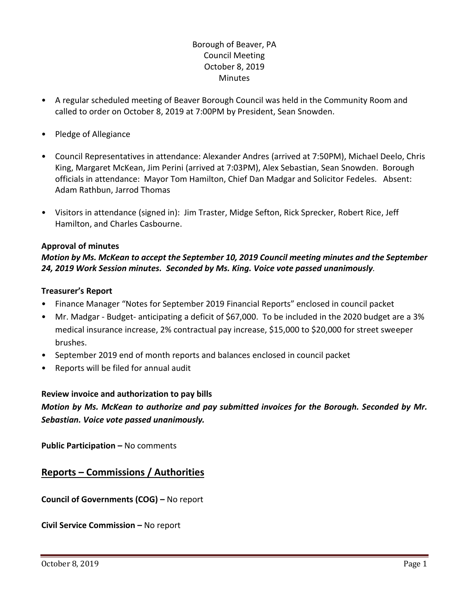# Borough of Beaver, PA Council Meeting October 8, 2019 **Minutes**

- A regular scheduled meeting of Beaver Borough Council was held in the Community Room and called to order on October 8, 2019 at 7:00PM by President, Sean Snowden.
- Pledge of Allegiance
- Council Representatives in attendance: Alexander Andres (arrived at 7:50PM), Michael Deelo, Chris King, Margaret McKean, Jim Perini (arrived at 7:03PM), Alex Sebastian, Sean Snowden. Borough officials in attendance: Mayor Tom Hamilton, Chief Dan Madgar and Solicitor Fedeles. Absent: Adam Rathbun, Jarrod Thomas
- Visitors in attendance (signed in): Jim Traster, Midge Sefton, Rick Sprecker, Robert Rice, Jeff Hamilton, and Charles Casbourne.

### **Approval of minutes**

# *Motion by Ms. McKean to accept the September 10, 2019 Council meeting minutes and the September 24, 2019 Work Session minutes. Seconded by Ms. King. Voice vote passed unanimously.*

#### **Treasurer's Report**

- Finance Manager "Notes for September 2019 Financial Reports" enclosed in council packet
- Mr. Madgar Budget- anticipating a deficit of \$67,000. To be included in the 2020 budget are a 3% medical insurance increase, 2% contractual pay increase, \$15,000 to \$20,000 for street sweeper brushes.
- September 2019 end of month reports and balances enclosed in council packet
- Reports will be filed for annual audit

### **Review invoice and authorization to pay bills**

# *Motion by Ms. McKean to authorize and pay submitted invoices for the Borough. Seconded by Mr. Sebastian. Voice vote passed unanimously.*

**Public Participation – No comments** 

# **Reports – Commissions / Authorities**

**Council of Governments (COG) –** No report

**Civil Service Commission –** No report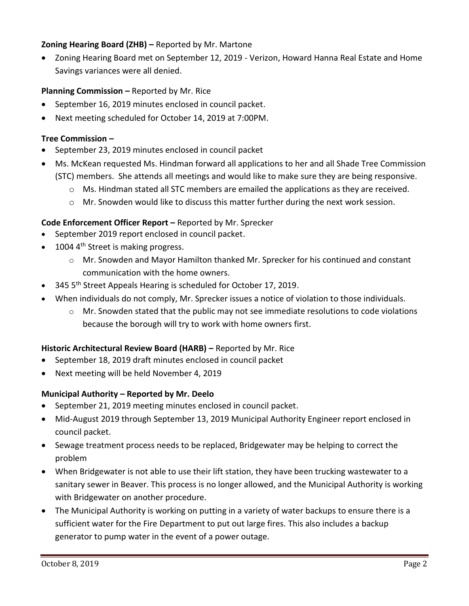# **Zoning Hearing Board (ZHB) –** Reported by Mr. Martone

• Zoning Hearing Board met on September 12, 2019 - Verizon, Howard Hanna Real Estate and Home Savings variances were all denied.

# **Planning Commission –** Reported by Mr. Rice

- September 16, 2019 minutes enclosed in council packet.
- Next meeting scheduled for October 14, 2019 at 7:00PM.

# **Tree Commission –**

- September 23, 2019 minutes enclosed in council packet
- Ms. McKean requested Ms. Hindman forward all applications to her and all Shade Tree Commission (STC) members. She attends all meetings and would like to make sure they are being responsive.
	- o Ms. Hindman stated all STC members are emailed the applications as they are received.
	- $\circ$  Mr. Snowden would like to discuss this matter further during the next work session.

# **Code Enforcement Officer Report –** Reported by Mr. Sprecker

- September 2019 report enclosed in council packet.
- $\bullet$  1004 4<sup>th</sup> Street is making progress.
	- $\circ$  Mr. Snowden and Mayor Hamilton thanked Mr. Sprecker for his continued and constant communication with the home owners.
- 345 5<sup>th</sup> Street Appeals Hearing is scheduled for October 17, 2019.
- When individuals do not comply, Mr. Sprecker issues a notice of violation to those individuals.
	- o Mr. Snowden stated that the public may not see immediate resolutions to code violations because the borough will try to work with home owners first.

### **Historic Architectural Review Board (HARB) –** Reported by Mr. Rice

- September 18, 2019 draft minutes enclosed in council packet
- Next meeting will be held November 4, 2019

# **Municipal Authority – Reported by Mr. Deelo**

- September 21, 2019 meeting minutes enclosed in council packet.
- Mid-August 2019 through September 13, 2019 Municipal Authority Engineer report enclosed in council packet.
- Sewage treatment process needs to be replaced, Bridgewater may be helping to correct the problem
- When Bridgewater is not able to use their lift station, they have been trucking wastewater to a sanitary sewer in Beaver. This process is no longer allowed, and the Municipal Authority is working with Bridgewater on another procedure.
- The Municipal Authority is working on putting in a variety of water backups to ensure there is a sufficient water for the Fire Department to put out large fires. This also includes a backup generator to pump water in the event of a power outage.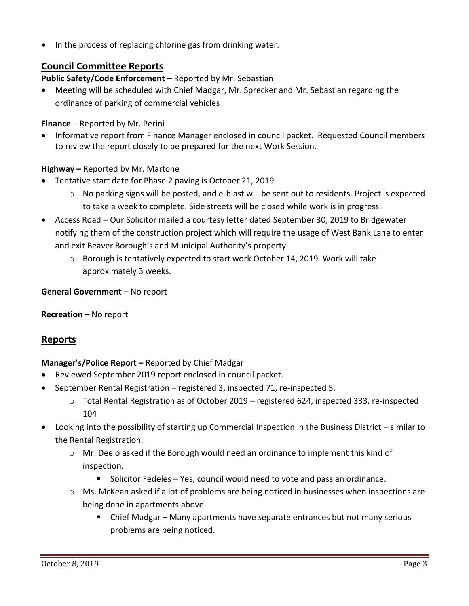In the process of replacing chlorine gas from drinking water.

# **Council Committee Reports**

# **Public Safety/Code Enforcement –** Reported by Mr. Sebastian

 Meeting will be scheduled with Chief Madgar, Mr. Sprecker and Mr. Sebastian regarding the ordinance of parking of commercial vehicles

# **Finance** – Reported by Mr. Perini

 Informative report from Finance Manager enclosed in council packet. Requested Council members to review the report closely to be prepared for the next Work Session.

# **Highway –** Reported by Mr. Martone

- Tentative start date for Phase 2 paving is October 21, 2019
	- o No parking signs will be posted, and e-blast will be sent out to residents. Project is expected to take a week to complete. Side streets will be closed while work is in progress.
- Access Road Our Solicitor mailed a courtesy letter dated September 30, 2019 to Bridgewater notifying them of the construction project which will require the usage of West Bank Lane to enter and exit Beaver Borough's and Municipal Authority's property.
	- $\circ$  Borough is tentatively expected to start work October 14, 2019. Work will take approximately 3 weeks.

## **General Government –** No report

# **Recreation –** No report

# **Reports**

# **Manager's/Police Report –** Reported by Chief Madgar

- Reviewed September 2019 report enclosed in council packet.
- September Rental Registration registered 3, inspected 71, re-inspected 5.
	- o Total Rental Registration as of October 2019 registered 624, inspected 333, re-inspected 104
- Looking into the possibility of starting up Commercial Inspection in the Business District similar to the Rental Registration.
	- $\circ$  Mr. Deelo asked if the Borough would need an ordinance to implement this kind of inspection.
		- Solicitor Fedeles Yes, council would need to vote and pass an ordinance.
	- o Ms. McKean asked if a lot of problems are being noticed in businesses when inspections are being done in apartments above.
		- Chief Madgar Many apartments have separate entrances but not many serious problems are being noticed.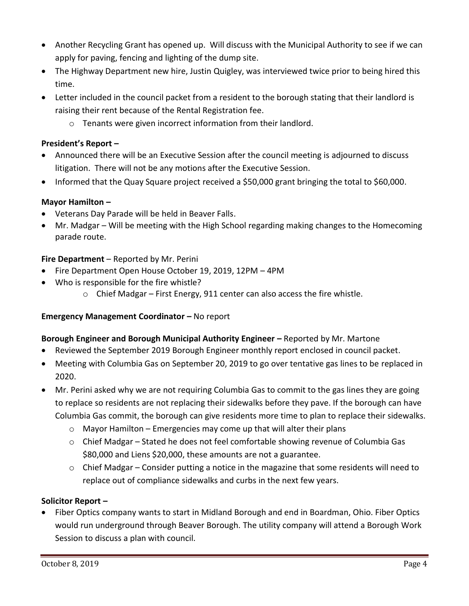- Another Recycling Grant has opened up. Will discuss with the Municipal Authority to see if we can apply for paving, fencing and lighting of the dump site.
- The Highway Department new hire, Justin Quigley, was interviewed twice prior to being hired this time.
- Letter included in the council packet from a resident to the borough stating that their landlord is raising their rent because of the Rental Registration fee.
	- o Tenants were given incorrect information from their landlord.

# **President's Report –**

- Announced there will be an Executive Session after the council meeting is adjourned to discuss litigation. There will not be any motions after the Executive Session.
- Informed that the Quay Square project received a \$50,000 grant bringing the total to \$60,000.

## **Mayor Hamilton –**

- Veterans Day Parade will be held in Beaver Falls.
- Mr. Madgar Will be meeting with the High School regarding making changes to the Homecoming parade route.

# **Fire Department** – Reported by Mr. Perini

- Fire Department Open House October 19, 2019, 12PM 4PM
- Who is responsible for the fire whistle?
	- $\circ$  Chief Madgar First Energy, 911 center can also access the fire whistle.

### **Emergency Management Coordinator - No report**

# **Borough Engineer and Borough Municipal Authority Engineer –** Reported by Mr. Martone

- Reviewed the September 2019 Borough Engineer monthly report enclosed in council packet.
- Meeting with Columbia Gas on September 20, 2019 to go over tentative gas lines to be replaced in 2020.
- Mr. Perini asked why we are not requiring Columbia Gas to commit to the gas lines they are going to replace so residents are not replacing their sidewalks before they pave. If the borough can have Columbia Gas commit, the borough can give residents more time to plan to replace their sidewalks.
	- o Mayor Hamilton Emergencies may come up that will alter their plans
	- o Chief Madgar Stated he does not feel comfortable showing revenue of Columbia Gas \$80,000 and Liens \$20,000, these amounts are not a guarantee.
	- $\circ$  Chief Madgar Consider putting a notice in the magazine that some residents will need to replace out of compliance sidewalks and curbs in the next few years.

# **Solicitor Report –**

 Fiber Optics company wants to start in Midland Borough and end in Boardman, Ohio. Fiber Optics would run underground through Beaver Borough. The utility company will attend a Borough Work Session to discuss a plan with council.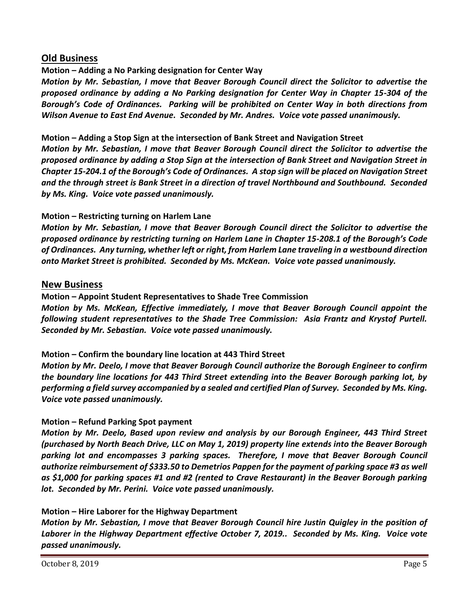# **Old Business**

## **Motion – Adding a No Parking designation for Center Way**

*Motion by Mr. Sebastian, I move that Beaver Borough Council direct the Solicitor to advertise the proposed ordinance by adding a No Parking designation for Center Way in Chapter 15-304 of the Borough's Code of Ordinances. Parking will be prohibited on Center Way in both directions from Wilson Avenue to East End Avenue. Seconded by Mr. Andres. Voice vote passed unanimously.*

#### **Motion – Adding a Stop Sign at the intersection of Bank Street and Navigation Street**

*Motion by Mr. Sebastian, I move that Beaver Borough Council direct the Solicitor to advertise the proposed ordinance by adding a Stop Sign at the intersection of Bank Street and Navigation Street in Chapter 15-204.1 of the Borough's Code of Ordinances. A stop sign will be placed on Navigation Street and the through street is Bank Street in a direction of travel Northbound and Southbound. Seconded by Ms. King. Voice vote passed unanimously.*

## **Motion – Restricting turning on Harlem Lane**

*Motion by Mr. Sebastian, I move that Beaver Borough Council direct the Solicitor to advertise the proposed ordinance by restricting turning on Harlem Lane in Chapter 15-208.1 of the Borough's Code of Ordinances. Any turning, whether left or right, from Harlem Lane traveling in a westbound direction onto Market Street is prohibited. Seconded by Ms. McKean. Voice vote passed unanimously.*

## **New Business**

## **Motion – Appoint Student Representatives to Shade Tree Commission** *Motion by Ms. McKean, Effective immediately, I move that Beaver Borough Council appoint the following student representatives to the Shade Tree Commission: Asia Frantz and Krystof Purtell. Seconded by Mr. Sebastian. Voice vote passed unanimously.*

# **Motion – Confirm the boundary line location at 443 Third Street**

*Motion by Mr. Deelo, I move that Beaver Borough Council authorize the Borough Engineer to confirm the boundary line locations for 443 Third Street extending into the Beaver Borough parking lot, by performing a field survey accompanied by a sealed and certified Plan of Survey. Seconded by Ms. King. Voice vote passed unanimously.*

# **Motion – Refund Parking Spot payment**

*Motion by Mr. Deelo, Based upon review and analysis by our Borough Engineer, 443 Third Street (purchased by North Beach Drive, LLC on May 1, 2019) property line extends into the Beaver Borough parking lot and encompasses 3 parking spaces. Therefore, I move that Beaver Borough Council authorize reimbursement of \$333.50 to Demetrios Pappen for the payment of parking space #3 as well as \$1,000 for parking spaces #1 and #2 (rented to Crave Restaurant) in the Beaver Borough parking lot. Seconded by Mr. Perini. Voice vote passed unanimously.*

### **Motion – Hire Laborer for the Highway Department**

*Motion by Mr. Sebastian, I move that Beaver Borough Council hire Justin Quigley in the position of Laborer in the Highway Department effective October 7, 2019.. Seconded by Ms. King. Voice vote passed unanimously.*